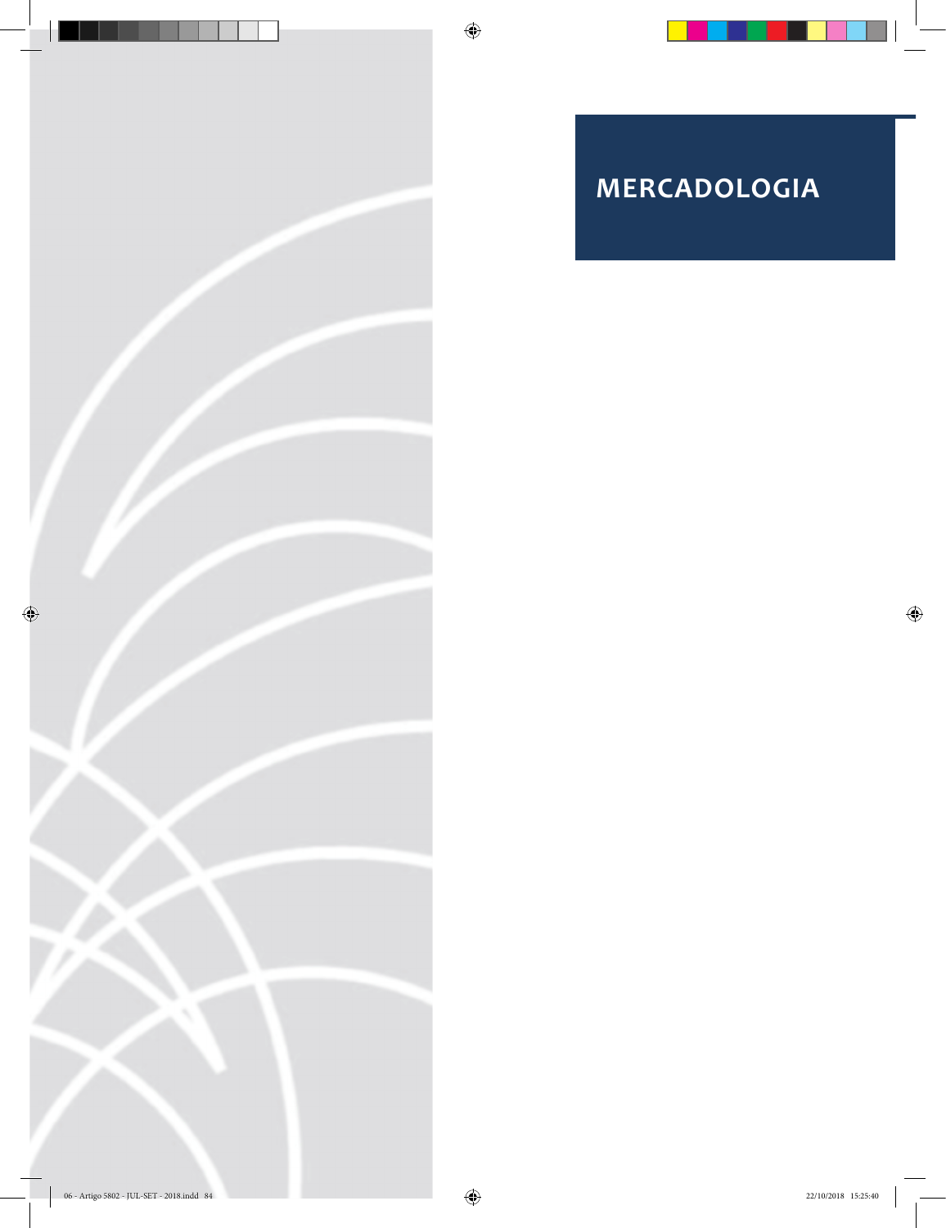



 $\bigcirc$ 

 $\bigoplus$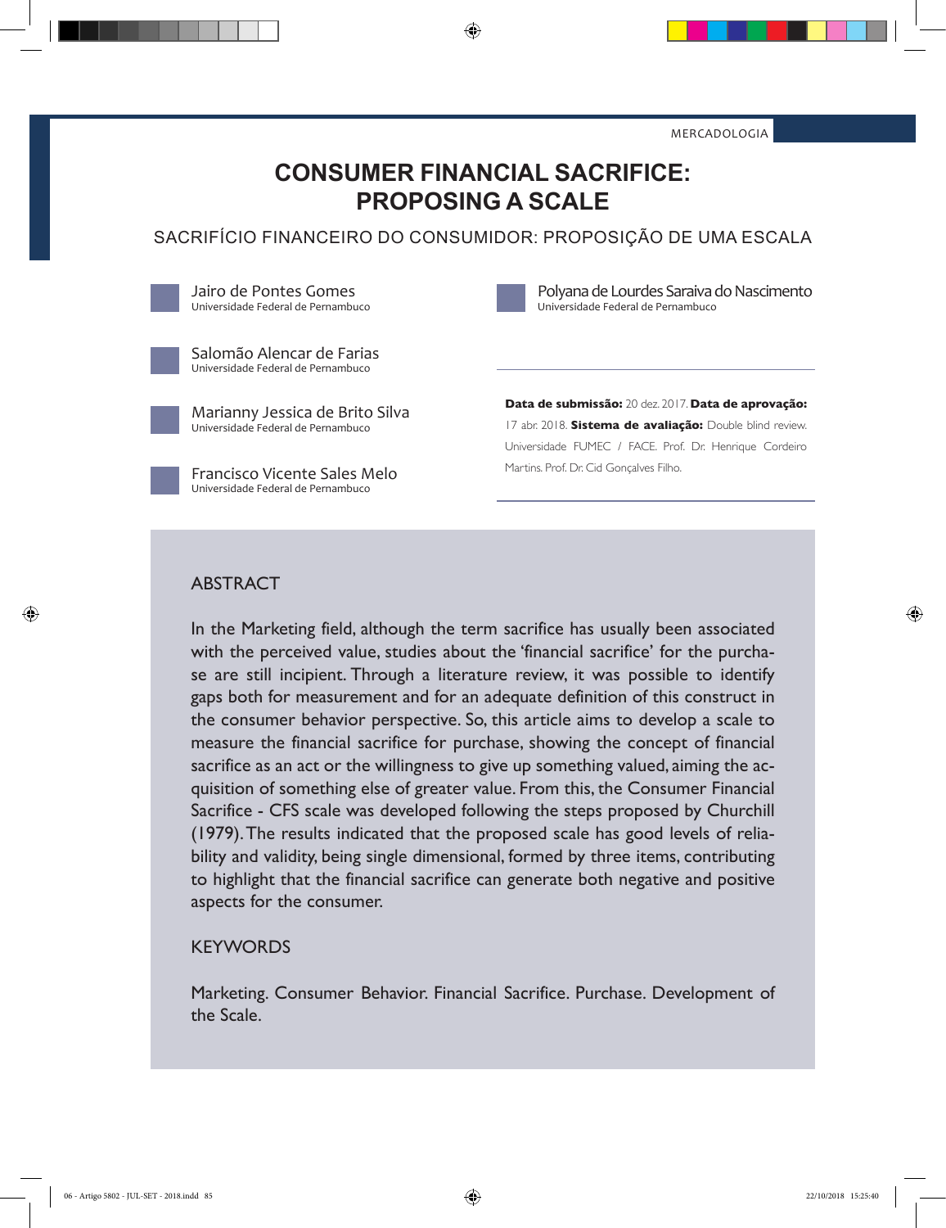MERCADOLOGIA

# **CONSUMER FINANCIAL SACRIFICE: PROPOSING A SCALE**

⊕

SACRIFÍCIO FINANCEIRO DO CONSUMIDOR: PROPOSIÇÃO DE UMA ESCALA

Jairo de Pontes Gomes Universidade Federal de Pernambuco



Polyana de Lourdes Saraiva do Nascimento Universidade Federal de Pernambuco

Salomão Alencar de Farias Universidade Federal de Pernambuco

Marianny Jessica de Brito Silva Universidade Federal de Pernambuco

Francisco Vicente Sales Melo Universidade Federal de Pernambuco

**Data de submissão:** 20 dez. 2017. **Data de aprovação:**  17 abr. 2018. **Sistema de avaliação:** Double blind review. Universidade FUMEC / FACE. Prof. Dr. Henrique Cordeiro Martins. Prof. Dr. Cid Gonçalves Filho.

#### ABSTRACT

◈

In the Marketing field, although the term sacrifice has usually been associated with the perceived value, studies about the 'financial sacrifice' for the purchase are still incipient. Through a literature review, it was possible to identify gaps both for measurement and for an adequate definition of this construct in the consumer behavior perspective. So, this article aims to develop a scale to measure the financial sacrifice for purchase, showing the concept of financial sacrifice as an act or the willingness to give up something valued, aiming the acquisition of something else of greater value. From this, the Consumer Financial Sacrifice - CFS scale was developed following the steps proposed by Churchill (1979). The results indicated that the proposed scale has good levels of reliability and validity, being single dimensional, formed by three items, contributing to highlight that the financial sacrifice can generate both negative and positive aspects for the consumer.

#### **KEYWORDS**

Marketing. Consumer Behavior. Financial Sacrifice. Purchase. Development of the Scale.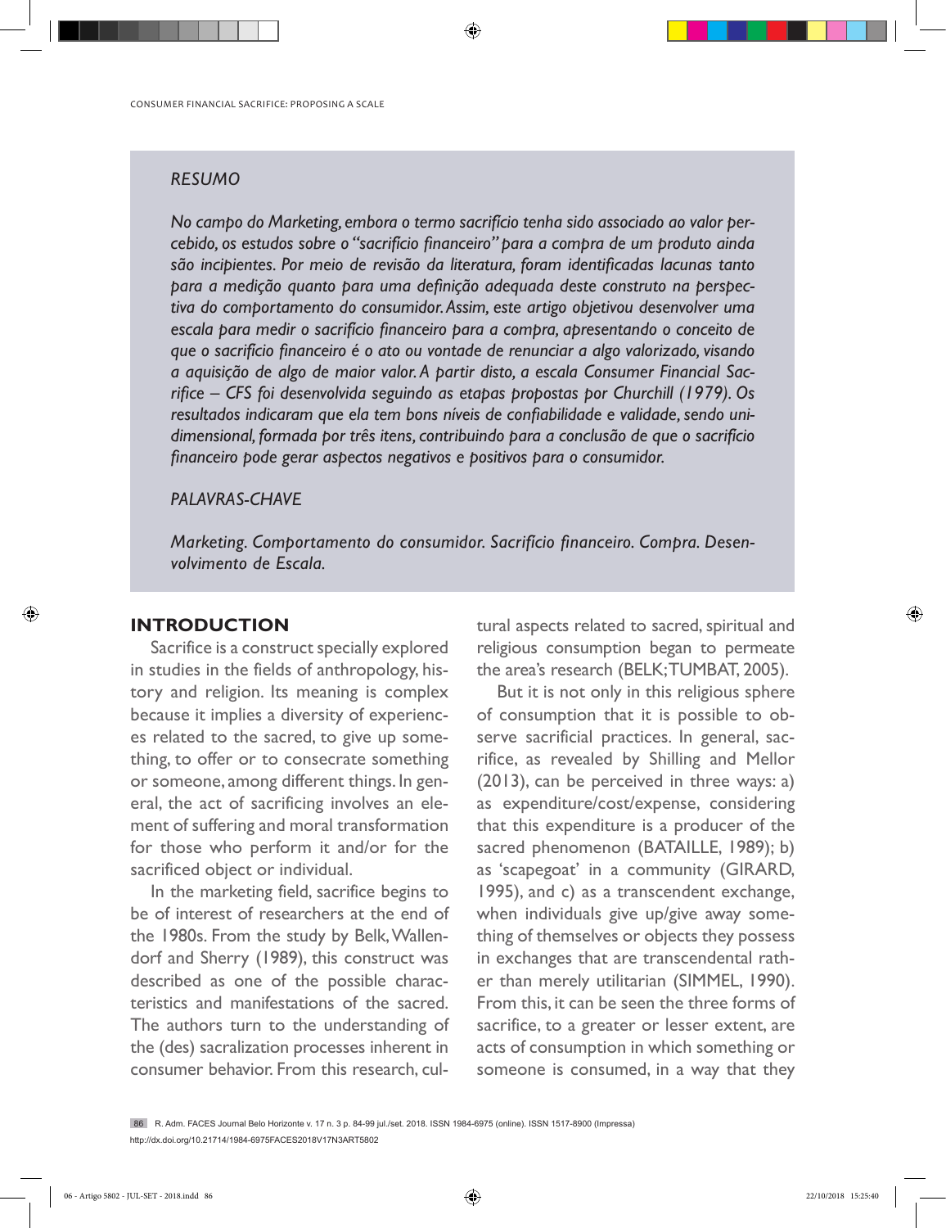### *RESUMO*

*No campo do Marketing, embora o termo sacrifício tenha sido associado ao valor percebido, os estudos sobre o "sacrifício financeiro" para a compra de um produto ainda são incipientes. Por meio de revisão da literatura, foram identificadas lacunas tanto para a medição quanto para uma definição adequada deste construto na perspectiva do comportamento do consumidor. Assim, este artigo objetivou desenvolver uma escala para medir o sacrifício financeiro para a compra, apresentando o conceito de que o sacrifício financeiro é o ato ou vontade de renunciar a algo valorizado, visando a aquisição de algo de maior valor. A partir disto, a escala Consumer Financial Sacrifice – CFS foi desenvolvida seguindo as etapas propostas por Churchill (1979). Os resultados indicaram que ela tem bons níveis de confiabilidade e validade, sendo unidimensional, formada por três itens, contribuindo para a conclusão de que o sacrifício financeiro pode gerar aspectos negativos e positivos para o consumidor.*

⊕

#### *PALAVRAS-CHAVE*

*Marketing. Comportamento do consumidor. Sacrifício financeiro. Compra. Desenvolvimento de Escala.* 

### **INTRODUCTION**

◈

Sacrifice is a construct specially explored in studies in the fields of anthropology, history and religion. Its meaning is complex because it implies a diversity of experiences related to the sacred, to give up something, to offer or to consecrate something or someone, among different things. In general, the act of sacrificing involves an element of suffering and moral transformation for those who perform it and/or for the sacrificed object or individual.

In the marketing field, sacrifice begins to be of interest of researchers at the end of the 1980s. From the study by Belk, Wallendorf and Sherry (1989), this construct was described as one of the possible characteristics and manifestations of the sacred. The authors turn to the understanding of the (des) sacralization processes inherent in consumer behavior. From this research, cultural aspects related to sacred, spiritual and religious consumption began to permeate the area's research (BELK; TUMBAT, 2005).

But it is not only in this religious sphere of consumption that it is possible to observe sacrificial practices. In general, sacrifice, as revealed by Shilling and Mellor (2013), can be perceived in three ways: a) as expenditure/cost/expense, considering that this expenditure is a producer of the sacred phenomenon (BATAILLE, 1989); b) as 'scapegoat' in a community (GIRARD, 1995), and c) as a transcendent exchange, when individuals give up/give away something of themselves or objects they possess in exchanges that are transcendental rather than merely utilitarian (SIMMEL, 1990). From this, it can be seen the three forms of sacrifice, to a greater or lesser extent, are acts of consumption in which something or someone is consumed, in a way that they

86 R. Adm. FACES Journal Belo Horizonte v. 17 n. 3 p. 84-99 jul./set. 2018. ISSN 1984-6975 (online). ISSN 1517-8900 (Impressa) http://dx.doi.org/10.21714/1984-6975FACES2018V17N3ART5802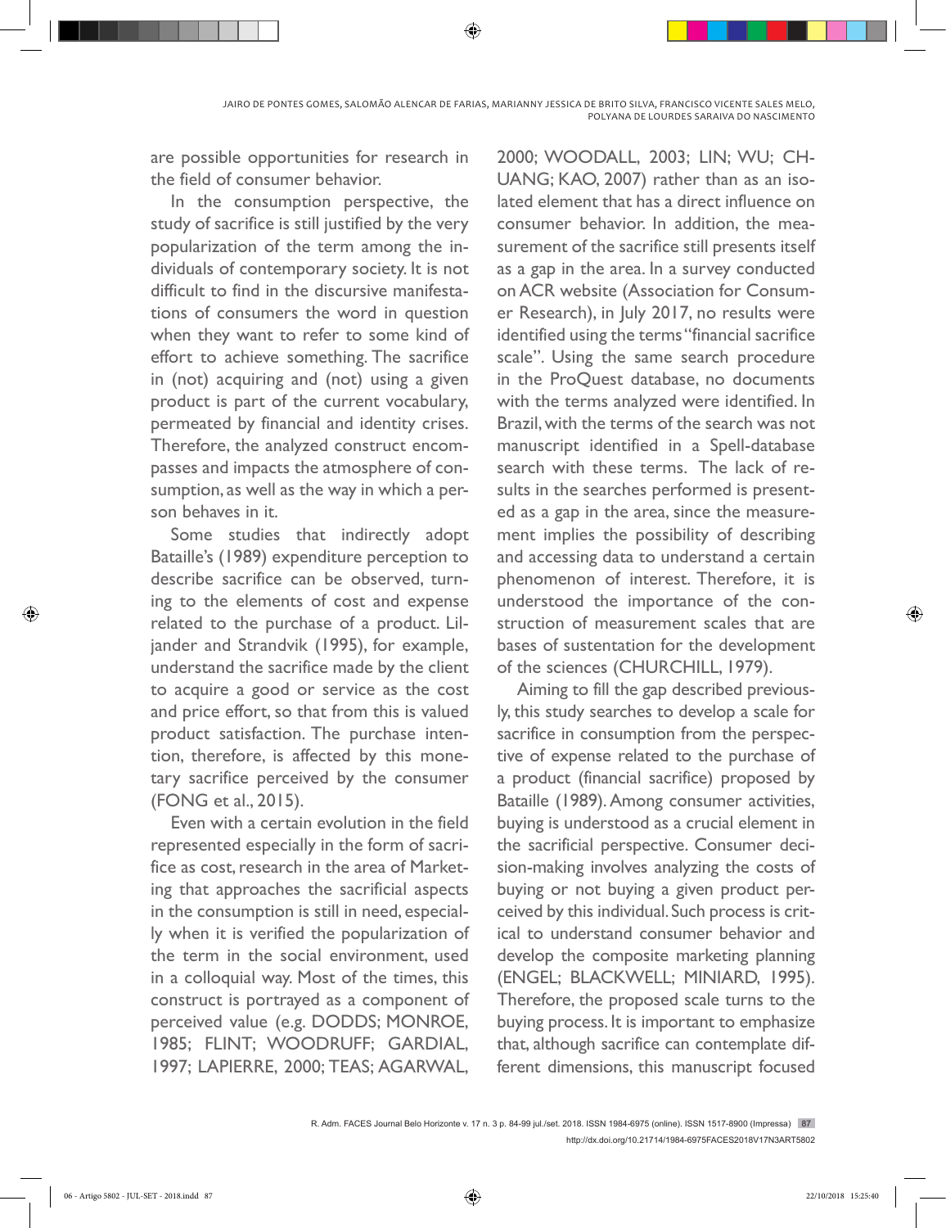are possible opportunities for research in the field of consumer behavior.

In the consumption perspective, the study of sacrifice is still justified by the very popularization of the term among the individuals of contemporary society. It is not difficult to find in the discursive manifestations of consumers the word in question when they want to refer to some kind of effort to achieve something. The sacrifice in (not) acquiring and (not) using a given product is part of the current vocabulary, permeated by financial and identity crises. Therefore, the analyzed construct encompasses and impacts the atmosphere of consumption, as well as the way in which a person behaves in it.

Some studies that indirectly adopt Bataille's (1989) expenditure perception to describe sacrifice can be observed, turning to the elements of cost and expense related to the purchase of a product. Liljander and Strandvik (1995), for example, understand the sacrifice made by the client to acquire a good or service as the cost and price effort, so that from this is valued product satisfaction. The purchase intention, therefore, is affected by this monetary sacrifice perceived by the consumer (FONG et al., 2015).

Even with a certain evolution in the field represented especially in the form of sacrifice as cost, research in the area of Marketing that approaches the sacrificial aspects in the consumption is still in need, especially when it is verified the popularization of the term in the social environment, used in a colloquial way. Most of the times, this construct is portrayed as a component of perceived value (e.g. DODDS; MONROE, 1985; FLINT; WOODRUFF; GARDIAL, 1997; LAPIERRE, 2000; TEAS; AGARWAL,

2000; WOODALL, 2003; LIN; WU; CH-UANG; KAO, 2007) rather than as an isolated element that has a direct influence on consumer behavior. In addition, the measurement of the sacrifice still presents itself as a gap in the area. In a survey conducted on ACR website (Association for Consumer Research), in July 2017, no results were identified using the terms "financial sacrifice scale". Using the same search procedure in the ProQuest database, no documents with the terms analyzed were identified. In Brazil, with the terms of the search was not manuscript identified in a Spell-database search with these terms. The lack of results in the searches performed is presented as a gap in the area, since the measurement implies the possibility of describing and accessing data to understand a certain phenomenon of interest. Therefore, it is understood the importance of the construction of measurement scales that are bases of sustentation for the development of the sciences (CHURCHILL, 1979).

Aiming to fill the gap described previously, this study searches to develop a scale for sacrifice in consumption from the perspective of expense related to the purchase of a product (financial sacrifice) proposed by Bataille (1989). Among consumer activities, buying is understood as a crucial element in the sacrificial perspective. Consumer decision-making involves analyzing the costs of buying or not buying a given product perceived by this individual. Such process is critical to understand consumer behavior and develop the composite marketing planning (ENGEL; BLACKWELL; MINIARD, 1995). Therefore, the proposed scale turns to the buying process. It is important to emphasize that, although sacrifice can contemplate different dimensions, this manuscript focused

R. Adm. FACES Journal Belo Horizonte v. 17 n. 3 p. 84-99 jul./set. 2018. ISSN 1984-6975 (online). ISSN 1517-8900 (Impressa) 87 http://dx.doi.org/10.21714/1984-6975FACES2018V17N3ART5802

◈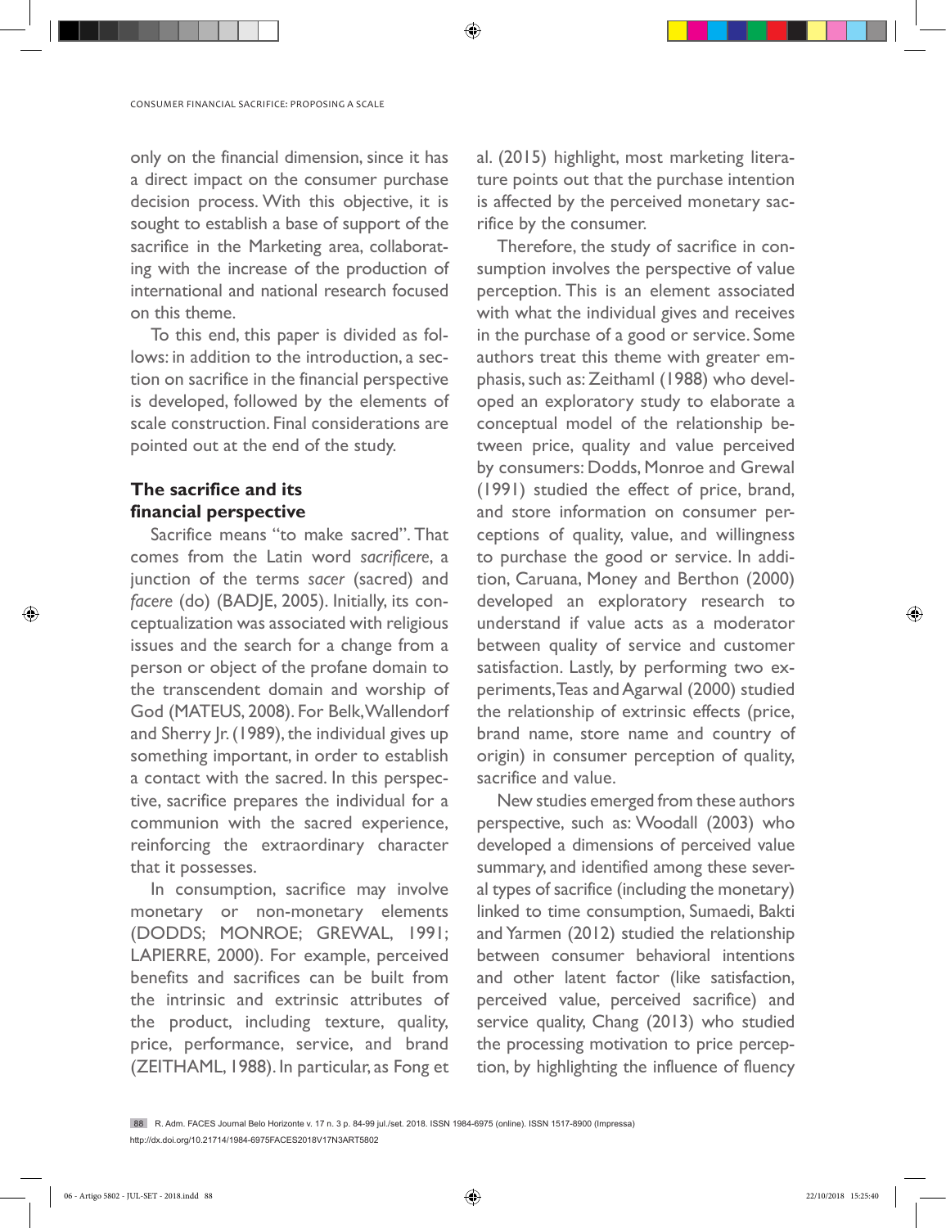only on the financial dimension, since it has a direct impact on the consumer purchase decision process. With this objective, it is sought to establish a base of support of the sacrifice in the Marketing area, collaborating with the increase of the production of international and national research focused on this theme.

To this end, this paper is divided as follows: in addition to the introduction, a section on sacrifice in the financial perspective is developed, followed by the elements of scale construction. Final considerations are pointed out at the end of the study.

# **The sacrifice and its financial perspective**

◈

Sacrifice means "to make sacred". That comes from the Latin word *sacrificere*, a junction of the terms *sacer* (sacred) and *facere* (do) (BADJE, 2005). Initially, its conceptualization was associated with religious issues and the search for a change from a person or object of the profane domain to the transcendent domain and worship of God (MATEUS, 2008). For Belk, Wallendorf and Sherry Jr. (1989), the individual gives up something important, in order to establish a contact with the sacred. In this perspective, sacrifice prepares the individual for a communion with the sacred experience, reinforcing the extraordinary character that it possesses.

In consumption, sacrifice may involve monetary or non-monetary elements (DODDS; MONROE; GREWAL, 1991; LAPIERRE, 2000). For example, perceived benefits and sacrifices can be built from the intrinsic and extrinsic attributes of the product, including texture, quality, price, performance, service, and brand (ZEITHAML, 1988). In particular, as Fong et al. (2015) highlight, most marketing literature points out that the purchase intention is affected by the perceived monetary sacrifice by the consumer.

◈

Therefore, the study of sacrifice in consumption involves the perspective of value perception. This is an element associated with what the individual gives and receives in the purchase of a good or service. Some authors treat this theme with greater emphasis, such as: Zeithaml (1988) who developed an exploratory study to elaborate a conceptual model of the relationship between price, quality and value perceived by consumers: Dodds, Monroe and Grewal (1991) studied the effect of price, brand, and store information on consumer perceptions of quality, value, and willingness to purchase the good or service. In addition, Caruana, Money and Berthon (2000) developed an exploratory research to understand if value acts as a moderator between quality of service and customer satisfaction. Lastly, by performing two experiments, Teas and Agarwal (2000) studied the relationship of extrinsic effects (price, brand name, store name and country of origin) in consumer perception of quality, sacrifice and value.

New studies emerged from these authors perspective, such as: Woodall (2003) who developed a dimensions of perceived value summary, and identified among these several types of sacrifice (including the monetary) linked to time consumption, Sumaedi, Bakti and Yarmen (2012) studied the relationship between consumer behavioral intentions and other latent factor (like satisfaction, perceived value, perceived sacrifice) and service quality, Chang (2013) who studied the processing motivation to price perception, by highlighting the influence of fluency

88 R. Adm. FACES Journal Belo Horizonte v. 17 n. 3 p. 84-99 jul./set. 2018. ISSN 1984-6975 (online). ISSN 1517-8900 (Impressa) http://dx.doi.org/10.21714/1984-6975FACES2018V17N3ART5802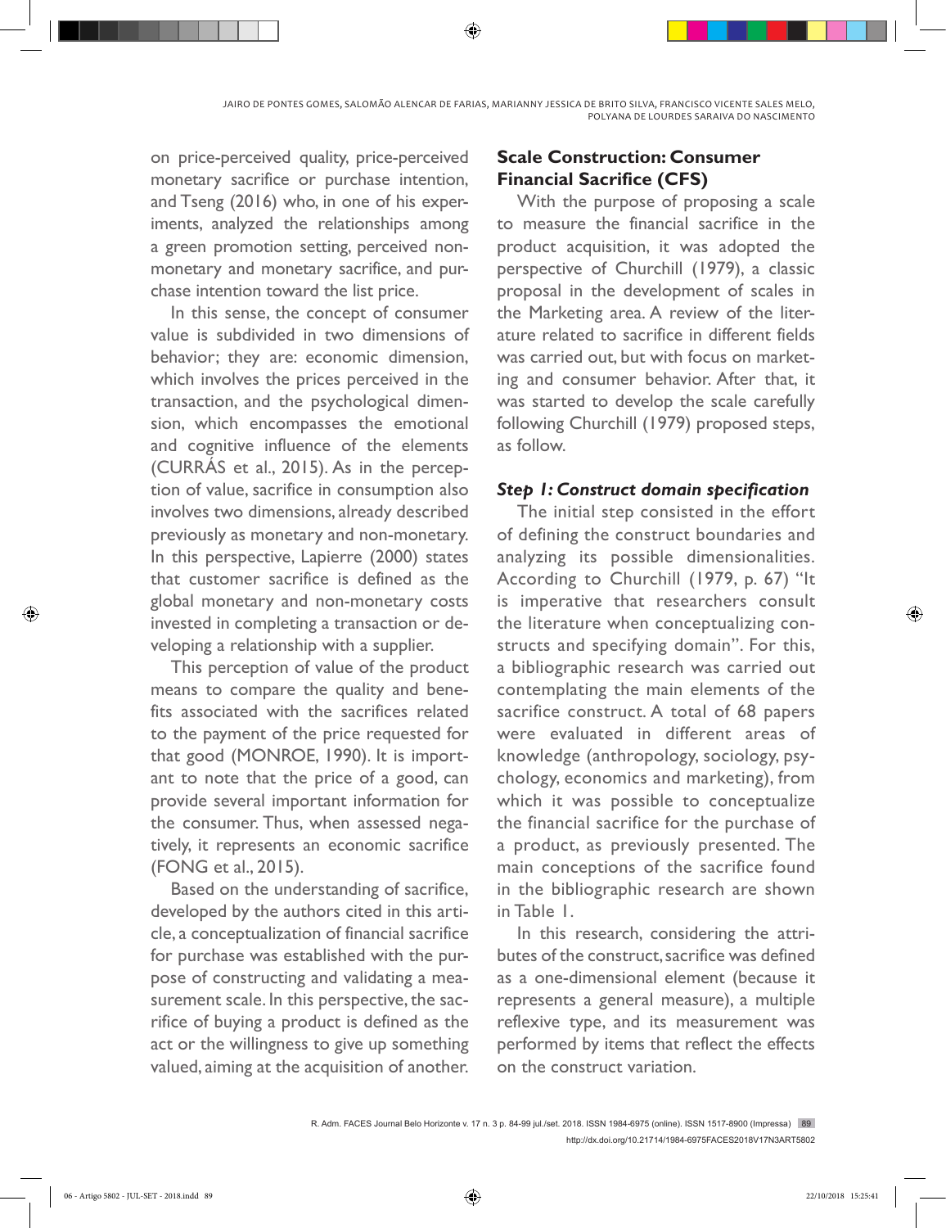on price-perceived quality, price-perceived monetary sacrifice or purchase intention, and Tseng (2016) who, in one of his experiments, analyzed the relationships among a green promotion setting, perceived nonmonetary and monetary sacrifice, and purchase intention toward the list price.

In this sense, the concept of consumer value is subdivided in two dimensions of behavior; they are: economic dimension, which involves the prices perceived in the transaction, and the psychological dimension, which encompasses the emotional and cognitive influence of the elements (CURRÁS et al., 2015). As in the perception of value, sacrifice in consumption also involves two dimensions, already described previously as monetary and non-monetary. In this perspective, Lapierre (2000) states that customer sacrifice is defined as the global monetary and non-monetary costs invested in completing a transaction or developing a relationship with a supplier.

This perception of value of the product means to compare the quality and benefits associated with the sacrifices related to the payment of the price requested for that good (MONROE, 1990). It is important to note that the price of a good, can provide several important information for the consumer. Thus, when assessed negatively, it represents an economic sacrifice (FONG et al., 2015).

Based on the understanding of sacrifice, developed by the authors cited in this article, a conceptualization of financial sacrifice for purchase was established with the purpose of constructing and validating a measurement scale. In this perspective, the sacrifice of buying a product is defined as the act or the willingness to give up something valued, aiming at the acquisition of another.

# **Scale Construction: Consumer Financial Sacrifice (CFS)**

With the purpose of proposing a scale to measure the financial sacrifice in the product acquisition, it was adopted the perspective of Churchill (1979), a classic proposal in the development of scales in the Marketing area. A review of the literature related to sacrifice in different fields was carried out, but with focus on marketing and consumer behavior. After that, it was started to develop the scale carefully following Churchill (1979) proposed steps, as follow.

## *Step 1: Construct domain specification*

The initial step consisted in the effort of defining the construct boundaries and analyzing its possible dimensionalities. According to Churchill (1979, p. 67) "It is imperative that researchers consult the literature when conceptualizing constructs and specifying domain". For this, a bibliographic research was carried out contemplating the main elements of the sacrifice construct. A total of 68 papers were evaluated in different areas of knowledge (anthropology, sociology, psychology, economics and marketing), from which it was possible to conceptualize the financial sacrifice for the purchase of a product, as previously presented. The main conceptions of the sacrifice found in the bibliographic research are shown in Table 1.

In this research, considering the attributes of the construct, sacrifice was defined as a one-dimensional element (because it represents a general measure), a multiple reflexive type, and its measurement was performed by items that reflect the effects on the construct variation.

⊕

R. Adm. FACES Journal Belo Horizonte v. 17 n. 3 p. 84-99 jul./set. 2018. ISSN 1984-6975 (online). ISSN 1517-8900 (Impressa) 89 http://dx.doi.org/10.21714/1984-6975FACES2018V17N3ART5802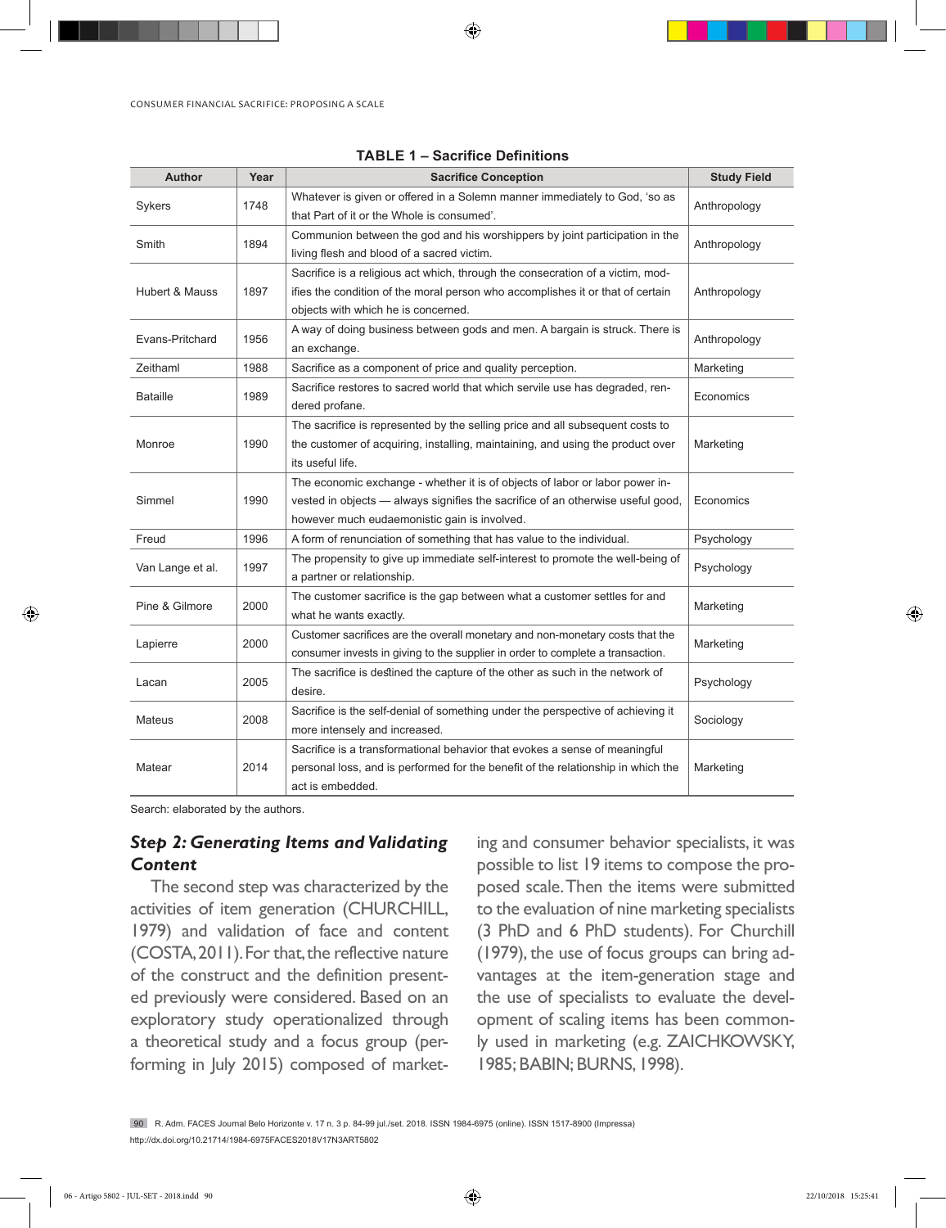◈

CONSUMER FINANCIAL SACRIFICE: PROPOSING A SCALE

| <b>Author</b>    | Year | <b>Sacrifice Conception</b>                                                                                      | <b>Study Field</b> |  |
|------------------|------|------------------------------------------------------------------------------------------------------------------|--------------------|--|
| Sykers           | 1748 | Whatever is given or offered in a Solemn manner immediately to God, 'so as                                       | Anthropology       |  |
|                  |      | that Part of it or the Whole is consumed'.                                                                       |                    |  |
| Smith            | 1894 | Communion between the god and his worshippers by joint participation in the                                      | Anthropology       |  |
|                  |      | living flesh and blood of a sacred victim.                                                                       |                    |  |
|                  |      | Sacrifice is a religious act which, through the consecration of a victim, mod-                                   |                    |  |
| Hubert & Mauss   | 1897 | ifies the condition of the moral person who accomplishes it or that of certain                                   | Anthropology       |  |
|                  |      | objects with which he is concerned.                                                                              |                    |  |
| Evans-Pritchard  | 1956 | A way of doing business between gods and men. A bargain is struck. There is                                      | Anthropology       |  |
|                  |      | an exchange.                                                                                                     |                    |  |
| Zeithaml         | 1988 | Sacrifice as a component of price and quality perception.                                                        | Marketing          |  |
| <b>Bataille</b>  | 1989 | Sacrifice restores to sacred world that which servile use has degraded, ren-<br>dered profane.                   | Economics          |  |
|                  |      | The sacrifice is represented by the selling price and all subsequent costs to                                    |                    |  |
| Monroe           | 1990 | the customer of acquiring, installing, maintaining, and using the product over                                   | Marketing          |  |
|                  |      | its useful life.                                                                                                 |                    |  |
|                  |      | The economic exchange - whether it is of objects of labor or labor power in-                                     |                    |  |
| Simmel           | 1990 | vested in objects - always signifies the sacrifice of an otherwise useful good,                                  | Economics          |  |
|                  |      | however much eudaemonistic gain is involved.                                                                     |                    |  |
| Freud            | 1996 | A form of renunciation of something that has value to the individual.                                            | Psychology         |  |
| Van Lange et al. | 1997 | The propensity to give up immediate self-interest to promote the well-being of<br>a partner or relationship.     | Psychology         |  |
| Pine & Gilmore   | 2000 | The customer sacrifice is the gap between what a customer settles for and<br>what he wants exactly.              | Marketing          |  |
|                  |      | Customer sacrifices are the overall monetary and non-monetary costs that the                                     |                    |  |
| Lapierre         | 2000 | consumer invests in giving to the supplier in order to complete a transaction.                                   | Marketing          |  |
|                  |      |                                                                                                                  |                    |  |
| Lacan            | 2005 | The sacrifice is destined the capture of the other as such in the network of<br>desire.                          | Psychology         |  |
|                  |      |                                                                                                                  |                    |  |
| <b>Mateus</b>    | 2008 | Sacrifice is the self-denial of something under the perspective of achieving it<br>more intensely and increased. | Sociology          |  |
|                  |      |                                                                                                                  |                    |  |
|                  |      | Sacrifice is a transformational behavior that evokes a sense of meaningful                                       | Marketing          |  |
| Matear           | 2014 | personal loss, and is performed for the benefit of the relationship in which the                                 |                    |  |
|                  |      | act is embedded.                                                                                                 |                    |  |

| <b>TABLE 1 – Sacrifice Definitions</b> |  |
|----------------------------------------|--|
|----------------------------------------|--|

Search: elaborated by the authors.

## *Step 2: Generating Items and Validating Content*

The second step was characterized by the activities of item generation (CHURCHILL, 1979) and validation of face and content (COSTA, 2011). For that, the reflective nature of the construct and the definition presented previously were considered. Based on an exploratory study operationalized through a theoretical study and a focus group (performing in July 2015) composed of marketing and consumer behavior specialists, it was possible to list 19 items to compose the proposed scale. Then the items were submitted to the evaluation of nine marketing specialists (3 PhD and 6 PhD students). For Churchill (1979), the use of focus groups can bring advantages at the item-generation stage and the use of specialists to evaluate the development of scaling items has been commonly used in marketing (e.g. ZAICHKOWSKY, 1985; BABIN; BURNS, 1998).

90 R. Adm. FACES Journal Belo Horizonte v. 17 n. 3 p. 84-99 jul./set. 2018. ISSN 1984-6975 (online). ISSN 1517-8900 (Impressa) http://dx.doi.org/10.21714/1984-6975FACES2018V17N3ART5802

◈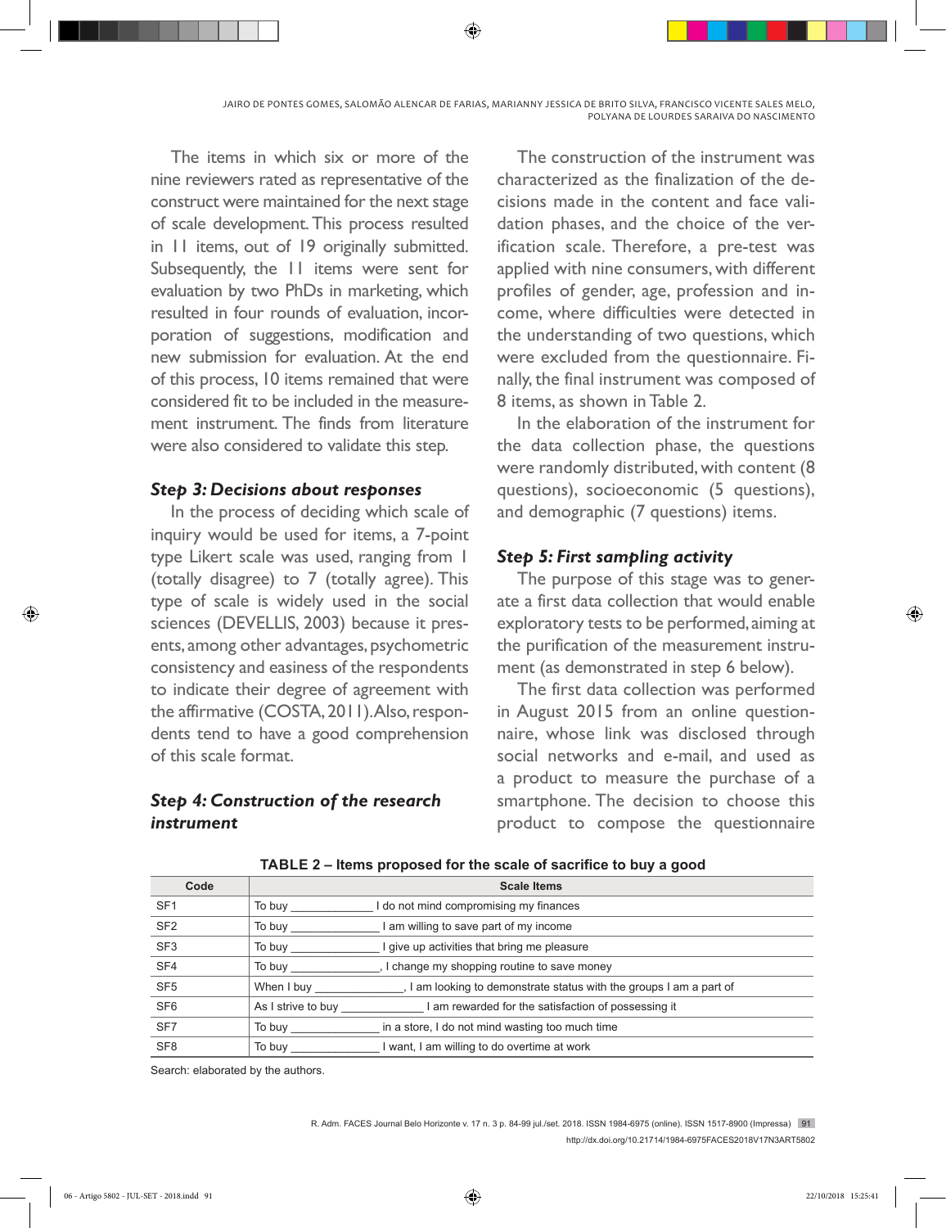The items in which six or more of the nine reviewers rated as representative of the construct were maintained for the next stage of scale development. This process resulted in 11 items, out of 19 originally submitted. Subsequently, the 11 items were sent for evaluation by two PhDs in marketing, which resulted in four rounds of evaluation, incorporation of suggestions, modification and new submission for evaluation. At the end of this process, 10 items remained that were considered fit to be included in the measurement instrument. The finds from literature were also considered to validate this step.

#### *Step 3: Decisions about responses*

In the process of deciding which scale of inquiry would be used for items, a 7-point type Likert scale was used, ranging from 1 (totally disagree) to 7 (totally agree). This type of scale is widely used in the social sciences (DEVELLIS, 2003) because it presents, among other advantages, psychometric consistency and easiness of the respondents to indicate their degree of agreement with the affirmative (COSTA, 2011). Also, respondents tend to have a good comprehension of this scale format.

## *Step 4: Construction of the research instrument*

The construction of the instrument was characterized as the finalization of the decisions made in the content and face validation phases, and the choice of the verification scale. Therefore, a pre-test was applied with nine consumers, with different profiles of gender, age, profession and income, where difficulties were detected in the understanding of two questions, which were excluded from the questionnaire. Finally, the final instrument was composed of 8 items, as shown in Table 2.

In the elaboration of the instrument for the data collection phase, the questions were randomly distributed, with content (8 questions), socioeconomic (5 questions), and demographic (7 questions) items.

## *Step 5: First sampling activity*

The purpose of this stage was to generate a first data collection that would enable exploratory tests to be performed, aiming at the purification of the measurement instrument (as demonstrated in step 6 below).

The first data collection was performed in August 2015 from an online questionnaire, whose link was disclosed through social networks and e-mail, and used as a product to measure the purchase of a smartphone. The decision to choose this product to compose the questionnaire

| Code            | <b>Scale Items</b>                                                              |
|-----------------|---------------------------------------------------------------------------------|
| SF <sub>1</sub> | do not mind compromising my finances<br>To buy                                  |
| SF <sub>2</sub> | am willing to save part of my income<br>To buy                                  |
| SF <sub>3</sub> | give up activities that bring me pleasure<br>To buy                             |
| SF <sub>4</sub> | I change my shopping routine to save money<br>To buy                            |
| SF <sub>5</sub> | I am looking to demonstrate status with the groups I am a part of<br>When I buy |
| SF <sub>6</sub> | As I strive to buy<br>I am rewarded for the satisfaction of possessing it       |
| SF <sub>7</sub> | in a store, I do not mind wasting too much time<br>To buy                       |
| SF <sub>8</sub> | I want, I am willing to do overtime at work<br>To buy                           |

**TABLE 2 – Items proposed for the scale of sacrifice to buy a good**

Search: elaborated by the authors.

R. Adm. FACES Journal Belo Horizonte v. 17 n. 3 p. 84-99 jul./set. 2018. ISSN 1984-6975 (online). ISSN 1517-8900 (Impressa) 91 http://dx.doi.org/10.21714/1984-6975FACES2018V17N3ART5802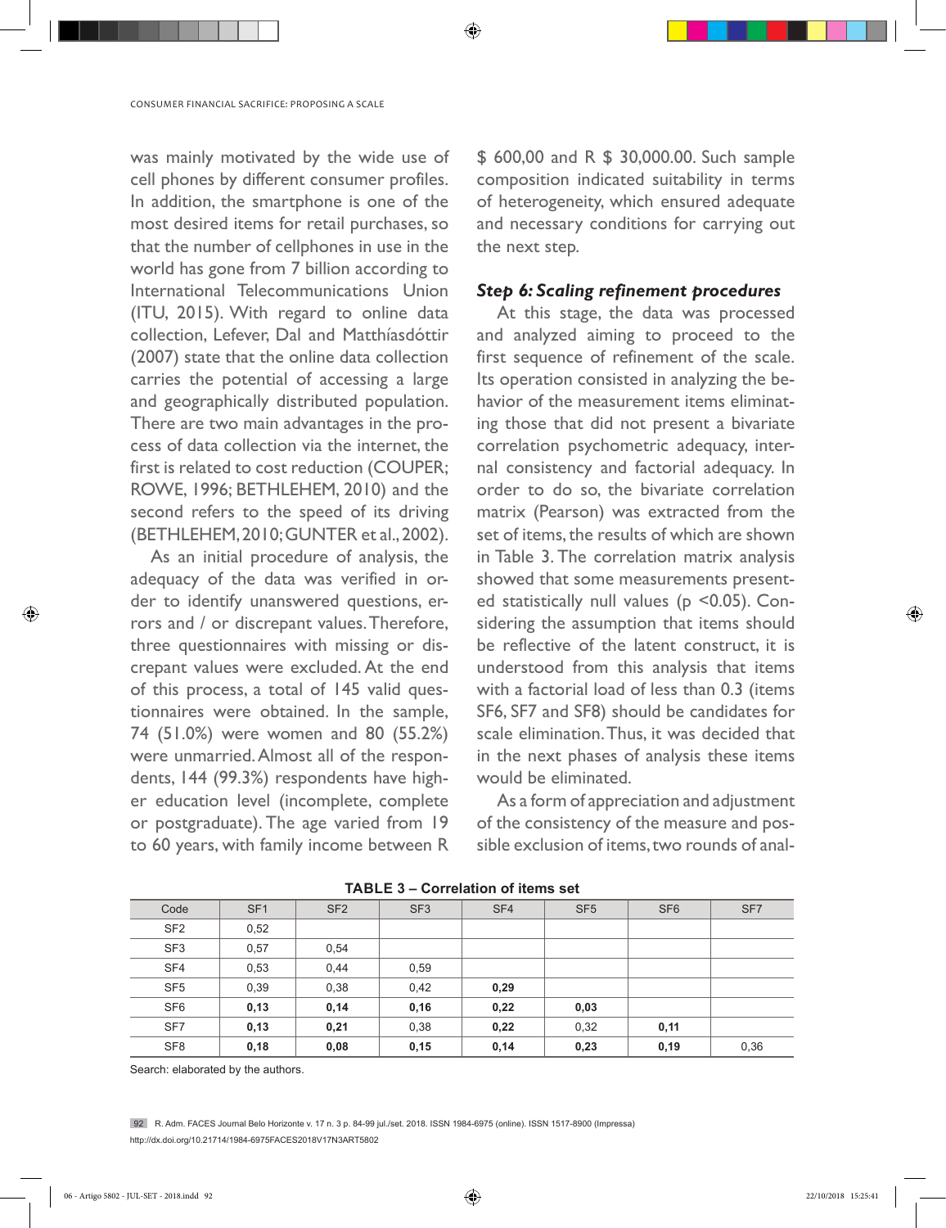was mainly motivated by the wide use of cell phones by different consumer profiles. In addition, the smartphone is one of the most desired items for retail purchases, so that the number of cellphones in use in the world has gone from 7 billion according to International Telecommunications Union (ITU, 2015). With regard to online data collection, Lefever, Dal and Matthíasdóttir (2007) state that the online data collection carries the potential of accessing a large and geographically distributed population. There are two main advantages in the process of data collection via the internet, the first is related to cost reduction (COUPER; ROWE, 1996; BETHLEHEM, 2010) and the second refers to the speed of its driving (BETHLEHEM, 2010; GUNTER et al., 2002).

As an initial procedure of analysis, the adequacy of the data was verified in order to identify unanswered questions, errors and / or discrepant values. Therefore, three questionnaires with missing or discrepant values were excluded. At the end of this process, a total of 145 valid questionnaires were obtained. In the sample, 74 (51.0%) were women and 80 (55.2%) were unmarried. Almost all of the respondents, 144 (99.3%) respondents have higher education level (incomplete, complete or postgraduate). The age varied from 19 to 60 years, with family income between R

\$ 600,00 and R \$ 30,000.00. Such sample composition indicated suitability in terms of heterogeneity, which ensured adequate and necessary conditions for carrying out the next step.

#### *Step 6: Scaling refinement procedures*

At this stage, the data was processed and analyzed aiming to proceed to the first sequence of refinement of the scale. Its operation consisted in analyzing the behavior of the measurement items eliminating those that did not present a bivariate correlation psychometric adequacy, internal consistency and factorial adequacy. In order to do so, the bivariate correlation matrix (Pearson) was extracted from the set of items, the results of which are shown in Table 3. The correlation matrix analysis showed that some measurements presented statistically null values ( $p$  <0.05). Considering the assumption that items should be reflective of the latent construct, it is understood from this analysis that items with a factorial load of less than 0.3 (items SF6, SF7 and SF8) should be candidates for scale elimination. Thus, it was decided that in the next phases of analysis these items would be eliminated.

As a form of appreciation and adjustment of the consistency of the measure and possible exclusion of items, two rounds of anal-

| TADLE J – CONGIGNON OF RENIS SER |                 |                 |                 |      |                 |                 |                 |
|----------------------------------|-----------------|-----------------|-----------------|------|-----------------|-----------------|-----------------|
| Code                             | SF <sub>1</sub> | SF <sub>2</sub> | SF <sub>3</sub> | SF4  | SF <sub>5</sub> | SF <sub>6</sub> | SF <sub>7</sub> |
| SF <sub>2</sub>                  | 0,52            |                 |                 |      |                 |                 |                 |
| SF <sub>3</sub>                  | 0,57            | 0,54            |                 |      |                 |                 |                 |
| SF <sub>4</sub>                  | 0,53            | 0,44            | 0,59            |      |                 |                 |                 |
| SF <sub>5</sub>                  | 0,39            | 0,38            | 0,42            | 0,29 |                 |                 |                 |
| SF <sub>6</sub>                  | 0,13            | 0,14            | 0,16            | 0,22 | 0,03            |                 |                 |
| SF <sub>7</sub>                  | 0,13            | 0,21            | 0,38            | 0,22 | 0,32            | 0,11            |                 |
| SF <sub>8</sub>                  | 0,18            | 0,08            | 0,15            | 0,14 | 0,23            | 0,19            | 0,36            |

**TABLE 3 – Correlation of items set**

◈

Search: elaborated by the authors.

92 R. Adm. FACES Journal Belo Horizonte v. 17 n. 3 p. 84-99 jul./set. 2018. ISSN 1984-6975 (online). ISSN 1517-8900 (Impressa) http://dx.doi.org/10.21714/1984-6975FACES2018V17N3ART5802

◈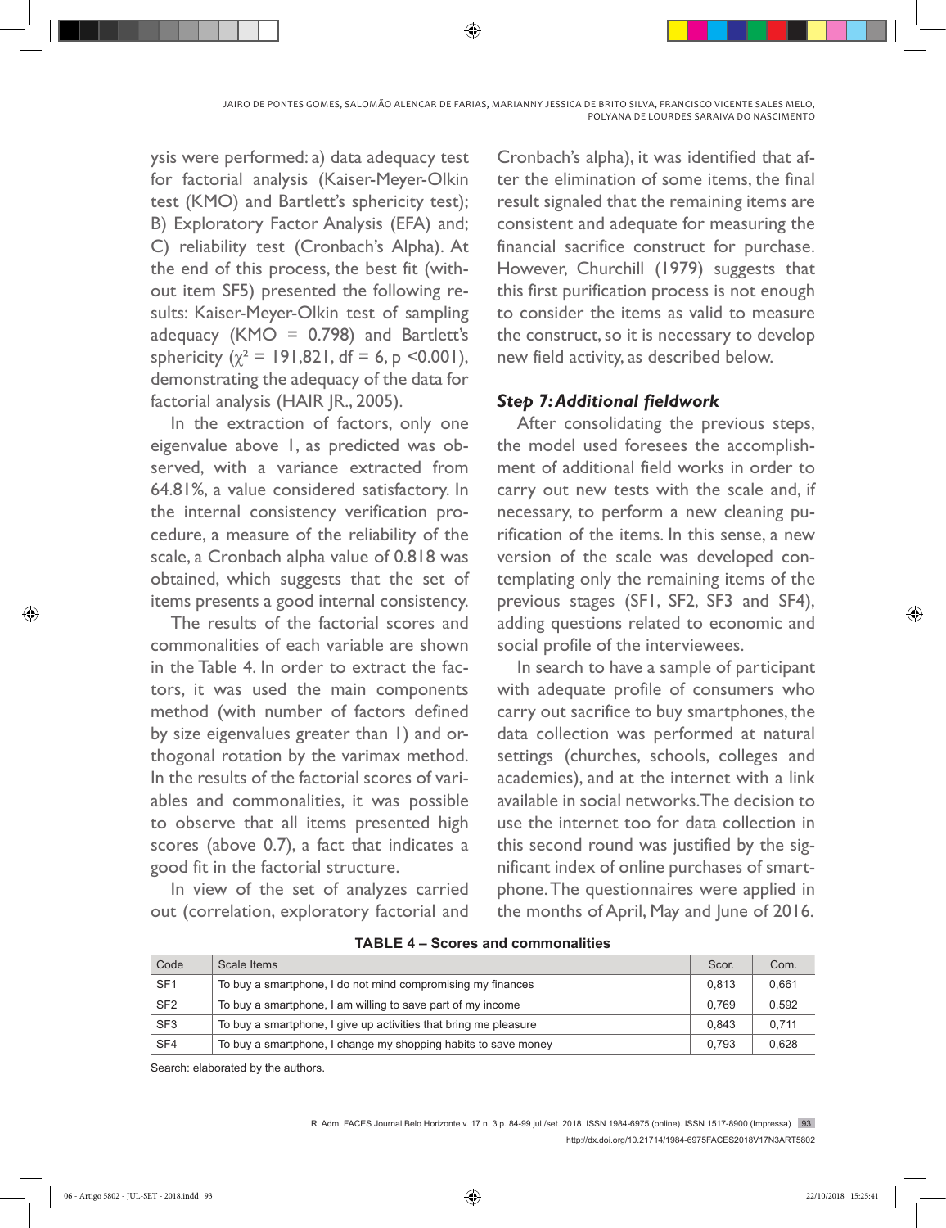JAIRO DE PONTES GOMES, SALOMÃO ALENCAR DE FARIAS, MARIANNY JESSICA DE BRITO SILVA, FRANCISCO VICENTE SALES MELO, POLYANA DE LOURDES SARAIVA DO NASCIMENTO

⊕

ysis were performed: a) data adequacy test for factorial analysis (Kaiser-Meyer-Olkin test (KMO) and Bartlett's sphericity test); B) Exploratory Factor Analysis (EFA) and; C) reliability test (Cronbach's Alpha). At the end of this process, the best fit (without item SF5) presented the following results: Kaiser-Meyer-Olkin test of sampling adequacy ( $KMO = 0.798$ ) and Bartlett's sphericity ( $\chi^2$  = 191,821, df = 6, p <0.001), demonstrating the adequacy of the data for factorial analysis (HAIR JR., 2005).

In the extraction of factors, only one eigenvalue above 1, as predicted was observed, with a variance extracted from 64.81%, a value considered satisfactory. In the internal consistency verification procedure, a measure of the reliability of the scale, a Cronbach alpha value of 0.818 was obtained, which suggests that the set of items presents a good internal consistency.

The results of the factorial scores and commonalities of each variable are shown in the Table 4. In order to extract the factors, it was used the main components method (with number of factors defined by size eigenvalues greater than 1) and orthogonal rotation by the varimax method. In the results of the factorial scores of variables and commonalities, it was possible to observe that all items presented high scores (above 0.7), a fact that indicates a good fit in the factorial structure.

In view of the set of analyzes carried out (correlation, exploratory factorial and

Cronbach's alpha), it was identified that after the elimination of some items, the final result signaled that the remaining items are consistent and adequate for measuring the financial sacrifice construct for purchase. However, Churchill (1979) suggests that this first purification process is not enough to consider the items as valid to measure the construct, so it is necessary to develop new field activity, as described below.

## *Step 7: Additional fieldwork*

After consolidating the previous steps, the model used foresees the accomplishment of additional field works in order to carry out new tests with the scale and, if necessary, to perform a new cleaning purification of the items. In this sense, a new version of the scale was developed contemplating only the remaining items of the previous stages (SF1, SF2, SF3 and SF4), adding questions related to economic and social profile of the interviewees.

In search to have a sample of participant with adequate profile of consumers who carry out sacrifice to buy smartphones, the data collection was performed at natural settings (churches, schools, colleges and academies), and at the internet with a link available in social networks. The decision to use the internet too for data collection in this second round was justified by the significant index of online purchases of smartphone. The questionnaires were applied in the months of April, May and June of 2016.

| Code            | Scale Items                                                      | Scor. | Com.  |
|-----------------|------------------------------------------------------------------|-------|-------|
| SF <sub>1</sub> | To buy a smartphone, I do not mind compromising my finances      | 0.813 | 0.661 |
| SF <sub>2</sub> | To buy a smartphone, I am willing to save part of my income      | 0.769 | 0.592 |
| SF <sub>3</sub> | To buy a smartphone, I give up activities that bring me pleasure | 0.843 | 0.711 |
| SF <sub>4</sub> | To buy a smartphone, I change my shopping habits to save money   | 0.793 | 0,628 |

**TABLE 4 – Scores and commonalities**

Search: elaborated by the authors.

R. Adm. FACES Journal Belo Horizonte v. 17 n. 3 p. 84-99 jul./set. 2018. ISSN 1984-6975 (online). ISSN 1517-8900 (Impressa) 93 http://dx.doi.org/10.21714/1984-6975FACES2018V17N3ART5802

⊕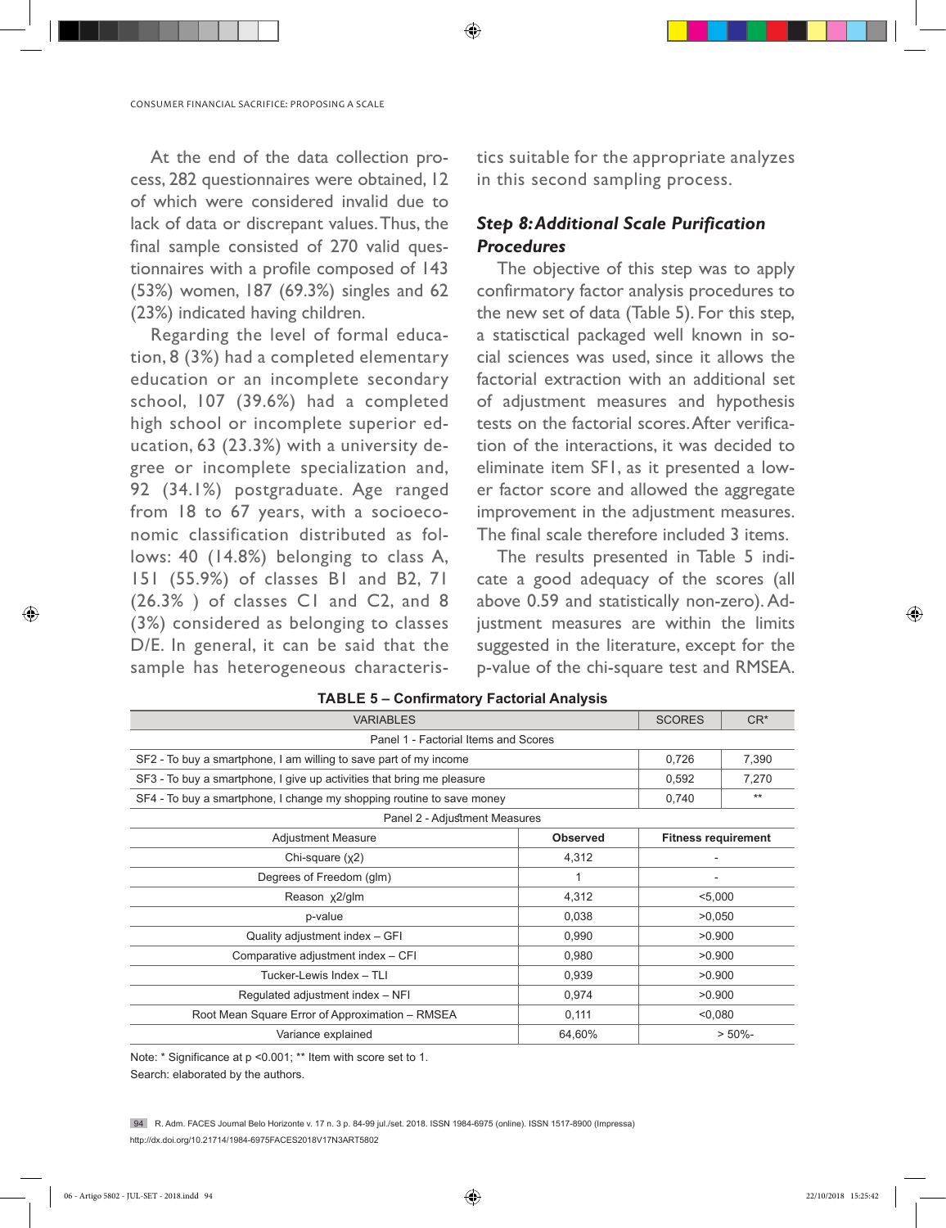At the end of the data collection process, 282 questionnaires were obtained, 12 of which were considered invalid due to lack of data or discrepant values. Thus, the final sample consisted of 270 valid questionnaires with a profile composed of 143 (53%) women, 187 (69.3%) singles and 62 (23%) indicated having children.

Regarding the level of formal education, 8 (3%) had a completed elementary education or an incomplete secondary school, 107 (39.6%) had a completed high school or incomplete superior education, 63 (23.3%) with a university degree or incomplete specialization and, 92 (34.1%) postgraduate. Age ranged from 18 to 67 years, with a socioeconomic classification distributed as follows: 40 (14.8%) belonging to class A, 151 (55.9%) of classes B1 and B2, 71 (26.3% ) of classes C1 and C2, and 8 (3%) considered as belonging to classes D/E. In general, it can be said that the sample has heterogeneous characteristics suitable for the appropriate analyzes in this second sampling process.

# *Step 8: Additional Scale Purification Procedures*

The objective of this step was to apply confirmatory factor analysis procedures to the new set of data (Table 5). For this step, a statisctical packaged well known in social sciences was used, since it allows the factorial extraction with an additional set of adjustment measures and hypothesis tests on the factorial scores. After verification of the interactions, it was decided to eliminate item SF1, as it presented a lower factor score and allowed the aggregate improvement in the adjustment measures. The final scale therefore included 3 items.

The results presented in Table 5 indicate a good adequacy of the scores (all above 0.59 and statistically non-zero). Adjustment measures are within the limits suggested in the literature, except for the p-value of the chi-square test and RMSEA.

| <b>VARIABLES</b>                                                       |                 |                            | $CR^*$     |
|------------------------------------------------------------------------|-----------------|----------------------------|------------|
| Panel 1 - Factorial Items and Scores                                   |                 |                            |            |
| SF2 - To buy a smartphone, I am willing to save part of my income      |                 | 0,726                      | 7,390      |
| SF3 - To buy a smartphone, I give up activities that bring me pleasure |                 | 0,592                      | 7,270      |
| SF4 - To buy a smartphone, I change my shopping routine to save money  |                 | 0,740                      | $**$       |
| Panel 2 - Adjustment Measures                                          |                 |                            |            |
| Adjustment Measure                                                     | <b>Observed</b> | <b>Fitness requirement</b> |            |
| Chi-square $(x2)$                                                      | 4,312           |                            |            |
| Degrees of Freedom (glm)                                               | 1               | $\overline{\phantom{a}}$   |            |
| Reason x2/glm                                                          | 4,312           | < 5,000                    |            |
| p-value                                                                | 0,038           | >0,050                     |            |
| Quality adjustment index - GFI                                         | 0,990           | >0.900                     |            |
| Comparative adjustment index - CFI                                     | 0,980           | >0.900                     |            |
| Tucker-Lewis Index - TLI                                               | 0,939           | >0.900                     |            |
| Regulated adjustment index - NFI                                       | 0,974           | >0.900                     |            |
| Root Mean Square Error of Approximation - RMSEA                        | 0,111           | < 0.080                    |            |
| Variance explained                                                     | 64,60%          |                            | $> 50\%$ - |

#### **TABLE 5 – Confirmatory Factorial Analysis**

⊕

Note: \* Significance at p <0.001; \*\* Item with score set to 1.

Search: elaborated by the authors.

94 R. Adm. FACES Journal Belo Horizonte v. 17 n. 3 p. 84-99 jul./set. 2018. ISSN 1984-6975 (online). ISSN 1517-8900 (Impressa) http://dx.doi.org/10.21714/1984-6975FACES2018V17N3ART5802

⊕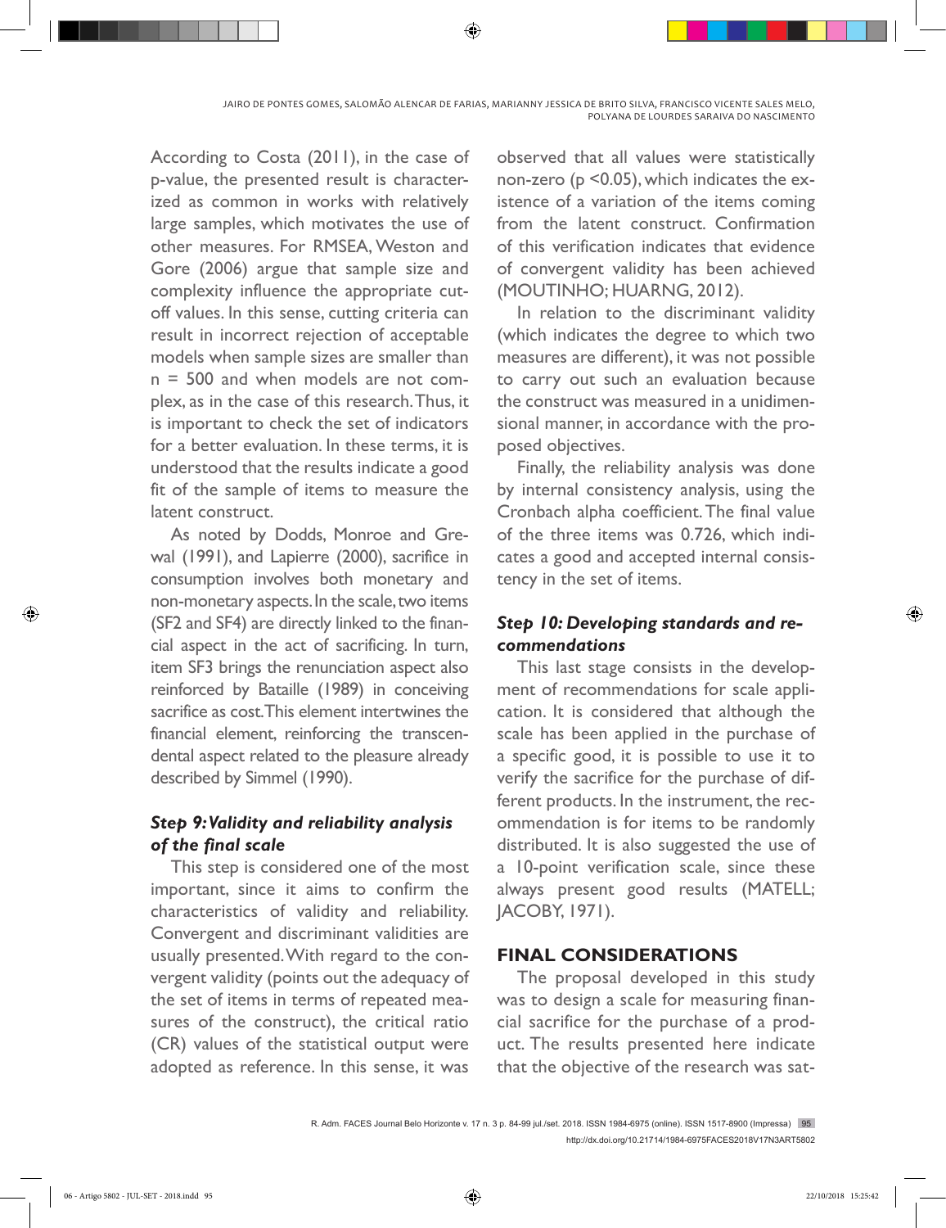According to Costa (2011), in the case of p-value, the presented result is characterized as common in works with relatively large samples, which motivates the use of other measures. For RMSEA, Weston and Gore (2006) argue that sample size and complexity influence the appropriate cutoff values. In this sense, cutting criteria can result in incorrect rejection of acceptable models when sample sizes are smaller than n = 500 and when models are not complex, as in the case of this research. Thus, it is important to check the set of indicators for a better evaluation. In these terms, it is understood that the results indicate a good fit of the sample of items to measure the latent construct.

As noted by Dodds, Monroe and Grewal (1991), and Lapierre (2000), sacrifice in consumption involves both monetary and non-monetary aspects. In the scale, two items (SF2 and SF4) are directly linked to the financial aspect in the act of sacrificing. In turn, item SF3 brings the renunciation aspect also reinforced by Bataille (1989) in conceiving sacrifice as cost. This element intertwines the financial element, reinforcing the transcendental aspect related to the pleasure already described by Simmel (1990).

# *Step 9: Validity and reliability analysis of the final scale*

This step is considered one of the most important, since it aims to confirm the characteristics of validity and reliability. Convergent and discriminant validities are usually presented. With regard to the convergent validity (points out the adequacy of the set of items in terms of repeated measures of the construct), the critical ratio (CR) values of the statistical output were adopted as reference. In this sense, it was

observed that all values were statistically non-zero (p <0.05), which indicates the existence of a variation of the items coming from the latent construct. Confirmation of this verification indicates that evidence of convergent validity has been achieved (MOUTINHO; HUARNG, 2012).

In relation to the discriminant validity (which indicates the degree to which two measures are different), it was not possible to carry out such an evaluation because the construct was measured in a unidimensional manner, in accordance with the proposed objectives.

Finally, the reliability analysis was done by internal consistency analysis, using the Cronbach alpha coefficient. The final value of the three items was 0.726, which indicates a good and accepted internal consistency in the set of items.

# *Step 10: Developing standards and recommendations*

This last stage consists in the development of recommendations for scale application. It is considered that although the scale has been applied in the purchase of a specific good, it is possible to use it to verify the sacrifice for the purchase of different products. In the instrument, the recommendation is for items to be randomly distributed. It is also suggested the use of a 10-point verification scale, since these always present good results (MATELL; JACOBY, 1971).

## **FINAL CONSIDERATIONS**

The proposal developed in this study was to design a scale for measuring financial sacrifice for the purchase of a product. The results presented here indicate that the objective of the research was sat-

R. Adm. FACES Journal Belo Horizonte v. 17 n. 3 p. 84-99 jul./set. 2018. ISSN 1984-6975 (online). ISSN 1517-8900 (Impressa) 95 http://dx.doi.org/10.21714/1984-6975FACES2018V17N3ART5802

◈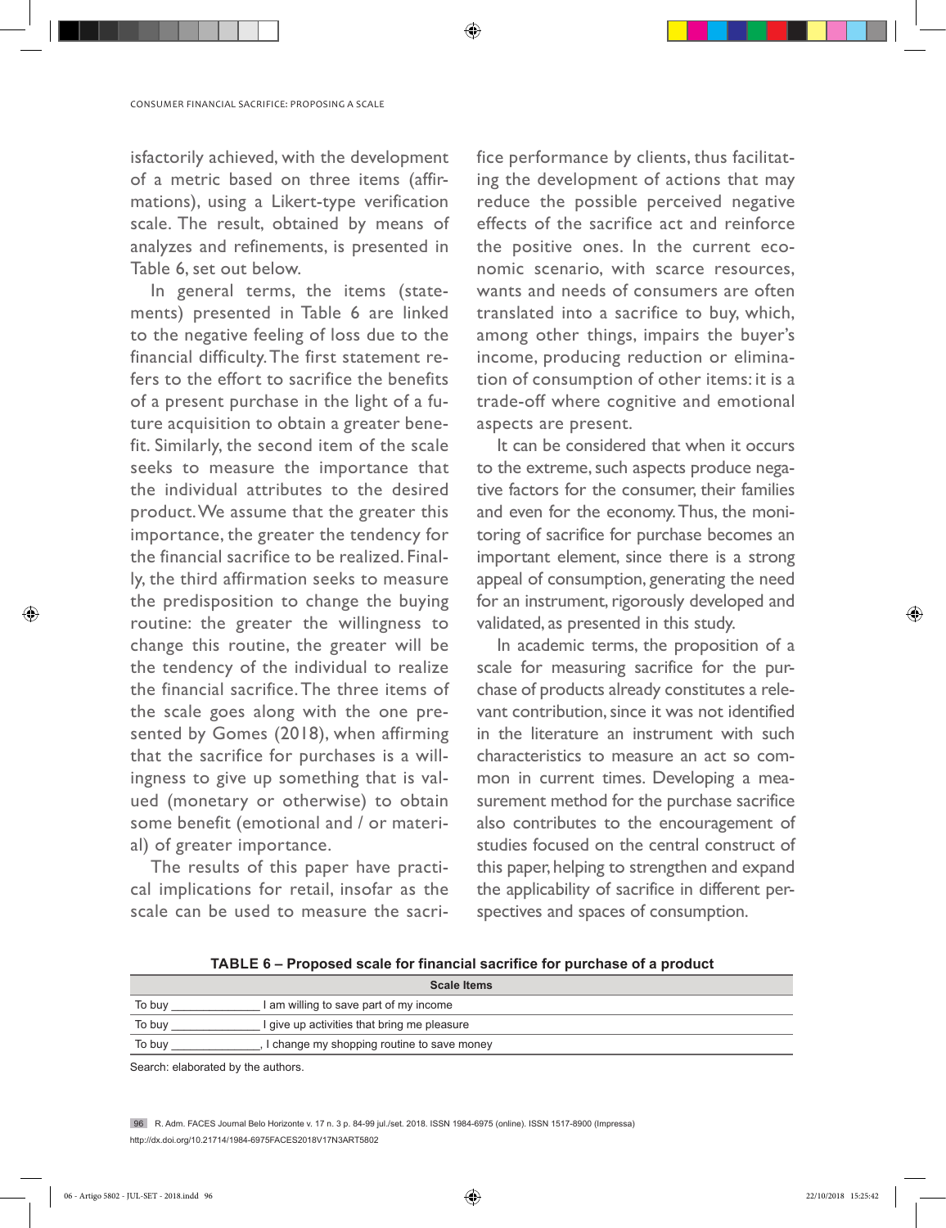isfactorily achieved, with the development of a metric based on three items (affirmations), using a Likert-type verification scale. The result, obtained by means of analyzes and refinements, is presented in Table 6, set out below.

In general terms, the items (statements) presented in Table 6 are linked to the negative feeling of loss due to the financial difficulty. The first statement refers to the effort to sacrifice the benefits of a present purchase in the light of a future acquisition to obtain a greater benefit. Similarly, the second item of the scale seeks to measure the importance that the individual attributes to the desired product. We assume that the greater this importance, the greater the tendency for the financial sacrifice to be realized. Finally, the third affirmation seeks to measure the predisposition to change the buying routine: the greater the willingness to change this routine, the greater will be the tendency of the individual to realize the financial sacrifice. The three items of the scale goes along with the one presented by Gomes (2018), when affirming that the sacrifice for purchases is a willingness to give up something that is valued (monetary or otherwise) to obtain some benefit (emotional and / or material) of greater importance.

The results of this paper have practical implications for retail, insofar as the scale can be used to measure the sacrifice performance by clients, thus facilitating the development of actions that may reduce the possible perceived negative effects of the sacrifice act and reinforce the positive ones. In the current economic scenario, with scarce resources, wants and needs of consumers are often translated into a sacrifice to buy, which, among other things, impairs the buyer's income, producing reduction or elimination of consumption of other items: it is a trade-off where cognitive and emotional aspects are present.

It can be considered that when it occurs to the extreme, such aspects produce negative factors for the consumer, their families and even for the economy. Thus, the monitoring of sacrifice for purchase becomes an important element, since there is a strong appeal of consumption, generating the need for an instrument, rigorously developed and validated, as presented in this study.

In academic terms, the proposition of a scale for measuring sacrifice for the purchase of products already constitutes a relevant contribution, since it was not identified in the literature an instrument with such characteristics to measure an act so common in current times. Developing a measurement method for the purchase sacrifice also contributes to the encouragement of studies focused on the central construct of this paper, helping to strengthen and expand the applicability of sacrifice in different perspectives and spaces of consumption.

**TABLE 6 – Proposed scale for financial sacrifice for purchase of a product**

◈

|        | <b>Scale Items</b>                          |
|--------|---------------------------------------------|
| To buv | I am willing to save part of my income      |
| To buy | I give up activities that bring me pleasure |
| To buy | I change my shopping routine to save money  |
|        |                                             |

Search: elaborated by the authors.

96 R. Adm. FACES Journal Belo Horizonte v. 17 n. 3 p. 84-99 jul./set. 2018. ISSN 1984-6975 (online). ISSN 1517-8900 (Impressa) http://dx.doi.org/10.21714/1984-6975FACES2018V17N3ART5802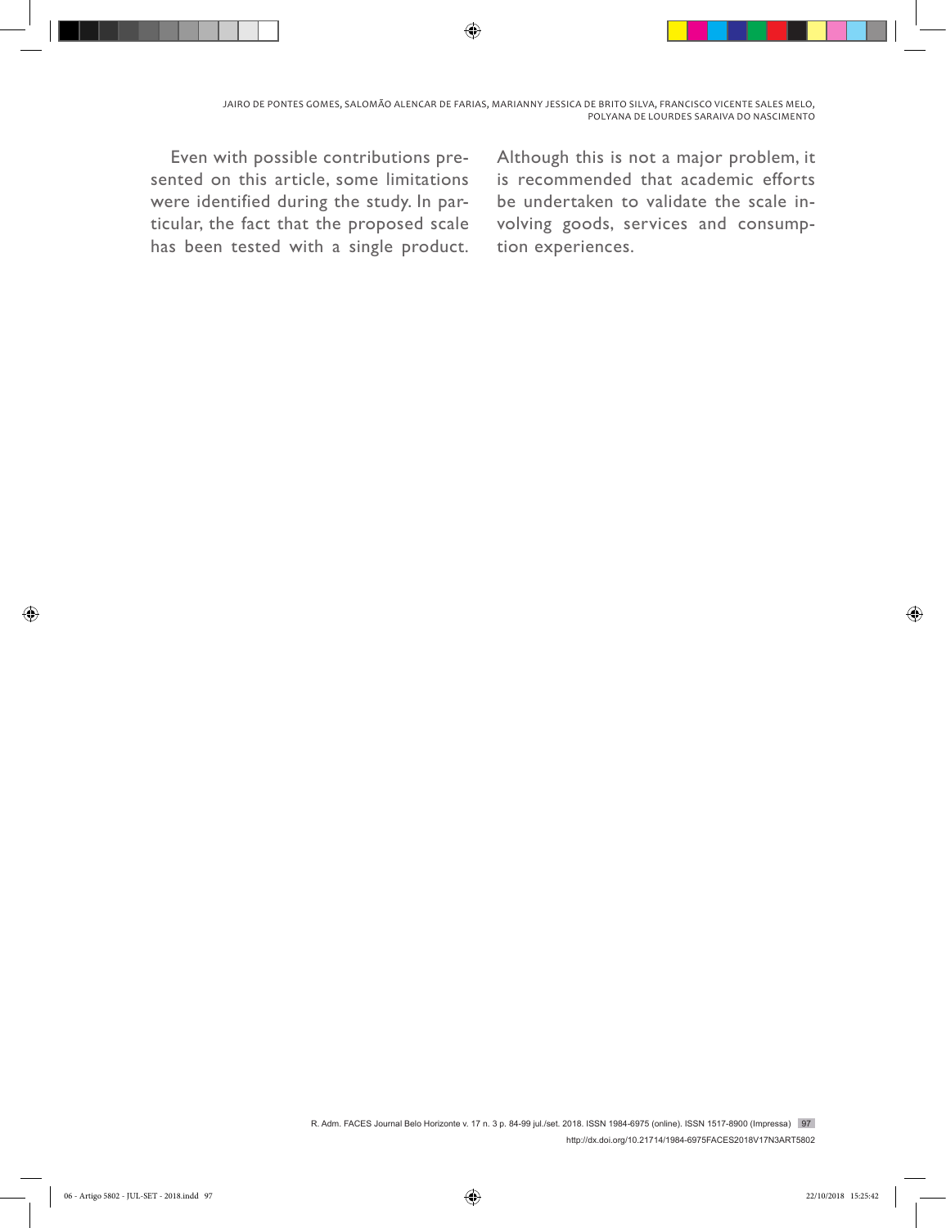↔

Even with possible contributions presented on this article, some limitations were identified during the study. In particular, the fact that the proposed scale has been tested with a single product. Although this is not a major problem, it is recommended that academic efforts be undertaken to validate the scale involving goods, services and consumption experiences.

R. Adm. FACES Journal Belo Horizonte v. 17 n. 3 p. 84-99 jul./set. 2018. ISSN 1984-6975 (online). ISSN 1517-8900 (Impressa) 97 http://dx.doi.org/10.21714/1984-6975FACES2018V17N3ART5802

◈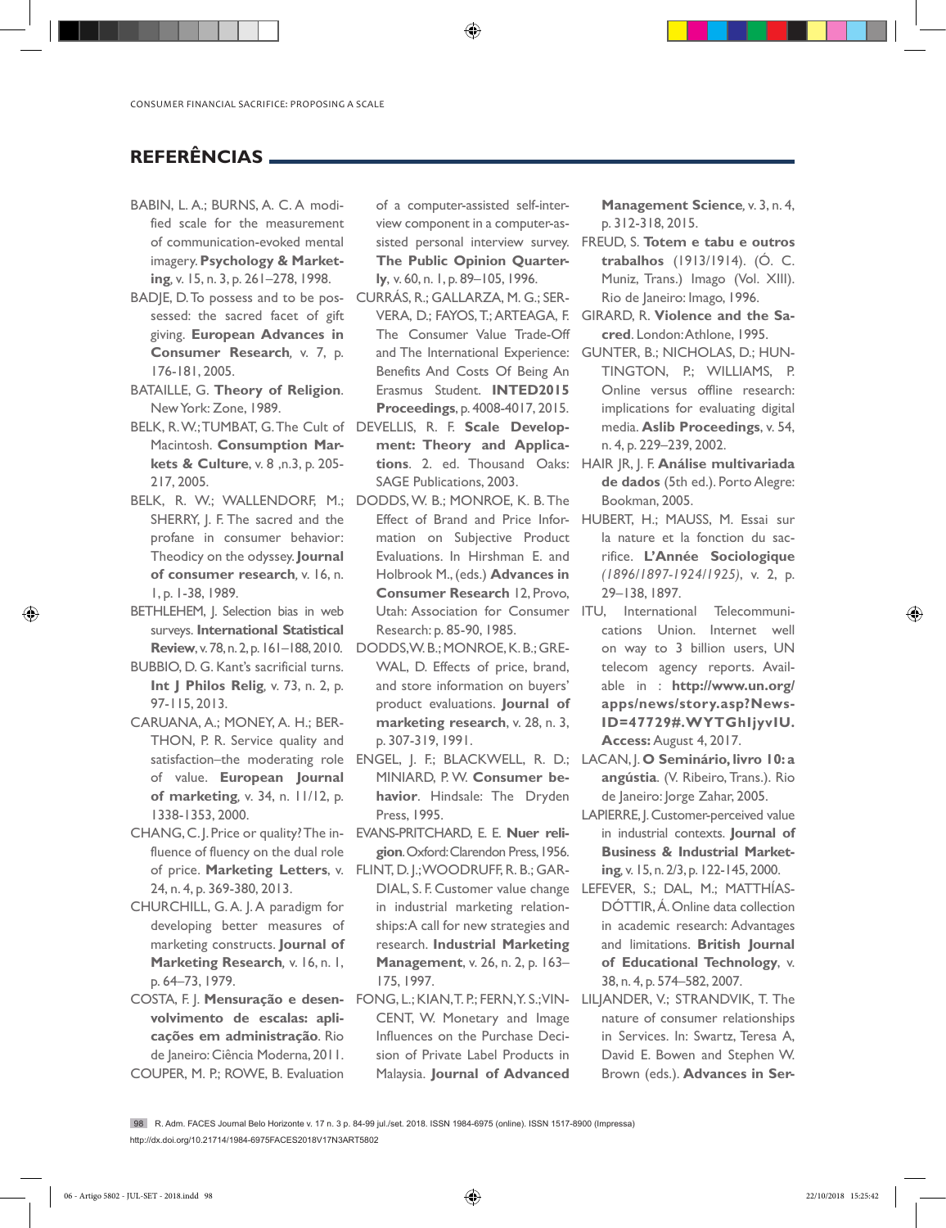## **REFERÊNCIAS**

- BABIN, L. A.; BURNS, A. C. A modified scale for the measurement of communication-evoked mental imagery. **Psychology & Marketing***,* v. 15, n. 3, p. 261–278, 1998.
- BADJE, D. To possess and to be pos-CURRÁS, R.; GALLARZA, M. G.; SERsessed: the sacred facet of gift giving. **European Advances in Consumer Research***,* v. 7, p. 176-181, 2005.
- BATAILLE, G. **Theory of Religion**. New York: Zone, 1989.
- BELK, R. W.; TUMBAT, G. The Cult of DEVELLIS, R. F. **Scale Develop-**Macintosh. **Consumption Markets & Culture**, v. 8 ,n.3, p. 205- 217, 2005.
- BELK, R. W.; WALLENDORF, M.; DODDS, W. B.; MONROE, K. B. The SHERRY, J. F. The sacred and the profane in consumer behavior: Theodicy on the odyssey. **Journal of consumer research***,* v. 16, n. 1, p. 1-38, 1989.
- BETHLEHEM, J. Selection bias in web surveys. **International Statistical**
- BUBBIO, D. G. Kant's sacrificial turns. **Int J Philos Relig***,* v. 73, n. 2, p. 97-115, 2013.
- CARUANA, A.; MONEY, A. H.; BER-THON, P. R. Service quality and of value. **European Journal of marketing***,* v. 34, n. 11/12, p. 1338-1353, 2000.
- CHANG, C. J. Price or quality? The influence of fluency on the dual role of price. **Marketing Letters**, v. FLINT, D. J.; WOODRUFF, R. B.; GAR-24, n. 4, p. 369-380, 2013.
- CHURCHILL, G. A. J. A paradigm for developing better measures of marketing constructs. **Journal of Marketing Research***,* v. 16, n. 1, p. 64–73, 1979.
- **volvimento de escalas: aplicações em administração**. Rio de Janeiro: Ciência Moderna, 2011. COUPER, M. P.; ROWE, B. Evaluation

of a computer-assisted self-interview component in a computer-assisted personal interview survey. **The Public Opinion Quarterly**, v. 60, n. 1, p. 89–105, 1996.

⊕

- VERA, D.; FAYOS, T.; ARTEAGA, F. The Consumer Value Trade-Off Benefits And Costs Of Being An Erasmus Student. **INTED2015 Proceedings**, p. 4008-4017, 2015.
- **ment: Theory and Applica-**SAGE Publications, 2003.
- Effect of Brand and Price Information on Subjective Product Evaluations. In Hirshman E. and Holbrook M., (eds.) **Advances in Consumer Research** 12, Provo, Utah: Association for Consumer ITU, Research: p. 85-90, 1985.
- **Review**, v. 78, n. 2, p. 161–188, 2010. DODDS, W. B.; MONROE, K. B.; GRE-WAL, D. Effects of price, brand, and store information on buyers' product evaluations. **Journal of marketing research**, v. 28, n. 3, p. 307-319, 1991.
	- MINIARD, P. W. **Consumer behavior**. Hindsale: The Dryden Press, 1995.
	- EVANS-PRITCHARD, E. E. **Nuer religion**. Oxford: Clarendon Press, 1956.
	- DIAL, S. F. Customer value change in industrial marketing relationships: A call for new strategies and research. **Industrial Marketing Management**, v. 26, n. 2, p. 163– 175, 1997.
- COSTA, F. J. **Mensuração e desen-**FONG, L.; KIAN, T. P.; FERN, Y. S.; VIN-CENT, W. Monetary and Image Influences on the Purchase Decision of Private Label Products in Malaysia. **Journal of Advanced**

**Management Science***,* v. 3, n. 4, p. 312-318, 2015.

- FREUD, S. **Totem e tabu e outros trabalhos** (1913/1914). (Ó. C. Muniz, Trans.) Imago (Vol. XIII). Rio de Janeiro: Imago, 1996.
- GIRARD, R. **Violence and the Sacred**. London: Athlone, 1995.
- and The International Experience: GUNTER, B.; NICHOLAS, D.; HUN-TINGTON, P.; WILLIAMS, P. Online versus offline research: implications for evaluating digital media. **Aslib Proceedings**, v. 54, n. 4, p. 229–239, 2002.
- **tions**. 2. ed. Thousand Oaks: HAIR JR, J. F. **Análise multivariada de dados** (5th ed.). Porto Alegre: Bookman, 2005.
	- HUBERT, H.; MAUSS, M. Essai sur la nature et la fonction du sacrifice. **L'Année Sociologique**  *(1896/1897-1924/1925)*, v. 2, p. 29–138, 1897.
	- International Telecommunications Union. Internet well on way to 3 billion users, UN telecom agency reports. Available in : **http://www.un.org/ apps/news/story.asp?News-ID=47729#.WYTGhIjyvIU. Access:** August 4, 2017.
- satisfaction–the moderating role ENGEL, J. F.; BLACKWELL, R. D.; LACAN, J. **O Seminário, livro 10: a angústia**. (V. Ribeiro, Trans.). Rio de Janeiro: Jorge Zahar, 2005.
	- LAPIERRE, J. Customer-perceived value in industrial contexts. **Journal of Business & Industrial Marketing***,* v. 15, n. 2/3, p. 122-145, 2000.
	- LEFEVER, S.; DAL, M.; MATTHÍAS-DÓTTIR, Á. Online data collection in academic research: Advantages and limitations. **British Journal of Educational Technology**, v. 38, n. 4, p. 574–582, 2007.
	- LILJANDER, V.; STRANDVIK, T. The nature of consumer relationships in Services. In: Swartz, Teresa A, David E. Bowen and Stephen W. Brown (eds.). **Advances in Ser-**

98 R. Adm. FACES Journal Belo Horizonte v. 17 n. 3 p. 84-99 jul./set. 2018. ISSN 1984-6975 (online). ISSN 1517-8900 (Impressa) http://dx.doi.org/10.21714/1984-6975FACES2018V17N3ART5802